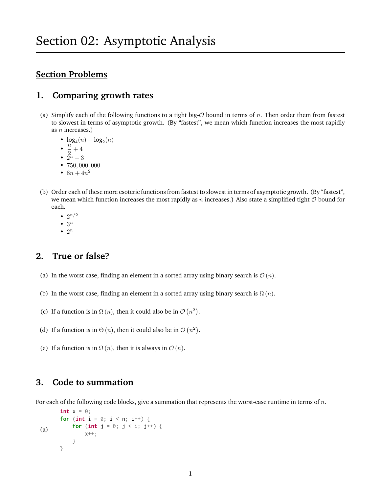# **Section Problems**

### **1. Comparing growth rates**

- (a) Simplify each of the following functions to a tight big- $\mathcal O$  bound in terms of n. Then order them from fastest to slowest in terms of asymptotic growth. (By "fastest", we mean which function increases the most rapidly as  $n$  increases.)
	- $\log_4(n) + \log_2(n)$
	- $\cdot \frac{n}{2}$  $\frac{1}{2}+4$
	- $\tilde{2}^n + 3$
	- 750, 000, 000
	- $8n + 4n^2$
- (b) Order each of these more esoteric functions from fastest to slowest in terms of asymptotic growth. (By "fastest", we mean which function increases the most rapidly as n increases.) Also state a simplified tight  $O$  bound for each.
	- $2^{n/2}$
	- $\bullet$  3<sup>n</sup>
	- $\bullet$  2<sup>n</sup>

## **2. True or false?**

- (a) In the worst case, finding an element in a sorted array using binary search is  $\mathcal{O}(n)$ .
- (b) In the worst case, finding an element in a sorted array using binary search is  $\Omega(n)$ .
- (c) If a function is in  $\Omega(n)$ , then it could also be in  $\mathcal{O}(n^2)$ .
- (d) If a function is in  $\Theta(n)$ , then it could also be in  $\mathcal{O}(n^2)$ .
- (e) If a function is in  $\Omega(n)$ , then it is always in  $\mathcal{O}(n)$ .

#### **3. Code to summation**

For each of the following code blocks, give a summation that represents the worst-case runtime in terms of  $n$ .

```
(a)
       int x = 0;
       for (int i = 0; i < n; i^{++}) {
           for (int j = 0; j < i; j^{++}) {
                x++;
            }
       }
```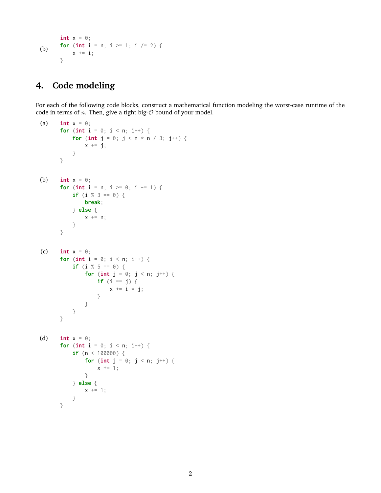```
(b)
       int x = 0;
       for (int i = n; i >= 1; i /= 2) {
            x \leftarrow i;
       }
```
# **4. Code modeling**

For each of the following code blocks, construct a mathematical function modeling the worst-case runtime of the code in terms of  $n$ . Then, give a tight big- $O$  bound of your model.

```
(a) int x = 0;
       for (int i = 0; i < n; i^{++}) {
            for (int j = 0; j < n * n / 3; j^{++}) {
                x \leftarrow \exists j;}
       }
(b) int x = 0;
       for (int i = n; i \ge 0; i = 1) {
            if (i % 3 == 0) {
                break;
            } else {
                x += n;
            }
       }
(c) int x = 0;
       for (int i = 0; i < n; i++) {
            if (i % 5 == 0) {
                for (int j = 0; j < n; j^{++}) {
                     if (i == j) {
                         x \neq i \times j;
                    }
                }
           }
       }
(d) int x = 0;
       for (int i = 0; i < n; i++) {
            if (n < 100000) {
                for (int j = 0; j < n; j^{++}) {
                    x \leftarrow + = 1;
                }
            } else {
                x \leftarrow + = 1;}
       }
```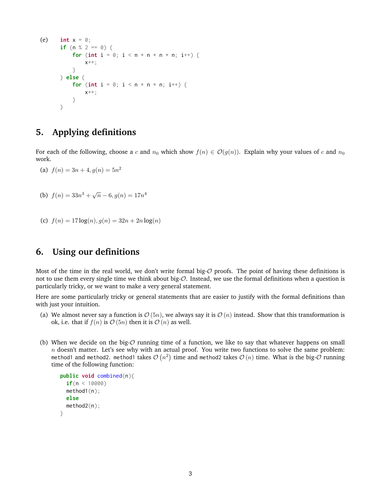```
(e) int x = 0;
      if (n % 2 == 0) {
          for (int i = 0; i < n * n * n * n; i++) {
              x++;
          }
      } else {
          for (int i = 0; i < n * n * n; i++) {
              x++;
          }
      }
```
# **5. Applying definitions**

For each of the following, choose a c and  $n_0$  which show  $f(n) \in \mathcal{O}(g(n))$ . Explain why your values of c and  $n_0$ work.

(a)  $f(n) = 3n + 4, g(n) = 5n^2$ 

(b) 
$$
f(n) = 33n^3 + \sqrt{n} - 6, g(n) = 17n^4
$$

(c) 
$$
f(n) = 17 \log(n), g(n) = 32n + 2n \log(n)
$$

### **6. Using our definitions**

Most of the time in the real world, we don't write formal big- $O$  proofs. The point of having these definitions is not to use them every single time we think about big-O. Instead, we use the formal definitions when a question is particularly tricky, or we want to make a very general statement.

Here are some particularly tricky or general statements that are easier to justify with the formal definitions than with just your intuition.

- (a) We almost never say a function is  $\mathcal{O}(5n)$ , we always say it is  $\mathcal{O}(n)$  instead. Show that this transformation is ok, i.e. that if  $f(n)$  is  $\mathcal{O}(5n)$  then it is  $\mathcal{O}(n)$  as well.
- (b) When we decide on the big- $O$  running time of a function, we like to say that whatever happens on small  $n$  doesn't matter. Let's see why with an actual proof. You write two functions to solve the same problem: method1 and method2. method1 takes  $\mathcal{O}\left(n^2\right)$  time and method2 takes  $\mathcal{O}\left(n\right)$  time. What is the big- $\mathcal O$  running time of the following function:

```
public void combined(n){
  if(n < 10000)method1(n);
  else
  method2(n);
}
```